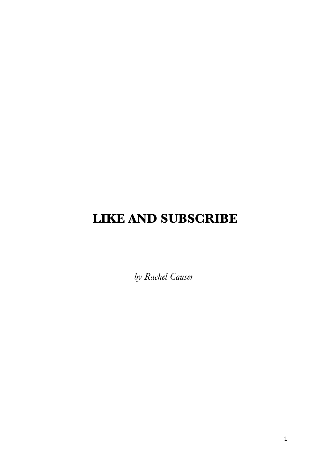# **LIKE AND SUBSCRIBE**

*by Rachel Causer*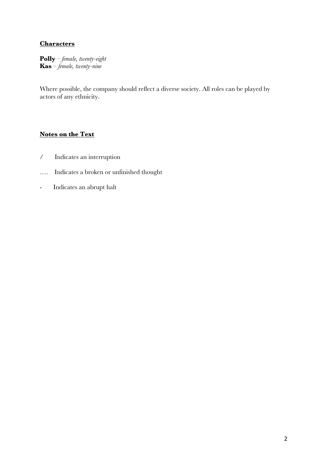#### **Characters**

**Polly** – *female, twenty-eight* **Kas** – *female, twenty-nine*

Where possible, the company should reflect a diverse society. All roles can be played by actors of any ethnicity.

### **Notes on the Text**

- / Indicates an interruption
- …. Indicates a broken or unfinished thought
- Indicates an abrupt halt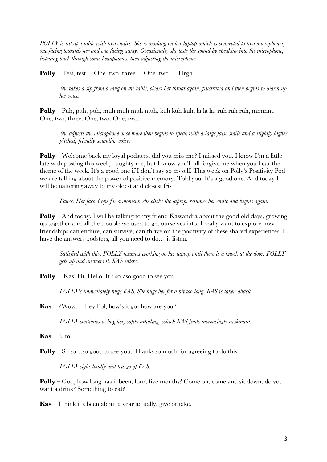*POLLY is sat at a table with two chairs. She is working on her laptop which is connected to two microphones, one facing towards her and one facing away. Occasionally she tests the sound by speaking into the microphone, listening back through some headphones, then adjusting the microphone.* 

**Polly** – Test, test… One, two, three… One, two…. Urgh.

*She takes a sip from a mug on the table, clears her throat again, frustrated and then begins to warm up her voice.* 

**Polly** – Puh, puh, puh, muh muh muh muh, kuh kuh kuh, la la la, ruh ruh ruh, mmmm. One, two, three. One, two. One, two.

*She adjusts the microphone once more then begins to speak with a large false smile and a slightly higher pitched, friendly-sounding voice.* 

**Polly** – Welcome back my loyal podsters, did you miss me? I missed you. I know I'm a little late with posting this week, naughty me, but I know you'll all forgive me when you hear the theme of the week. It's a good one if I don't say so myself. This week on Polly's Positivity Pod we are talking about the power of positive memory. Told you! It's a good one. And today I will be nattering away to my oldest and closest fri-

*Pause. Her face drops for a moment, she clicks the laptop, resumes her smile and begins again.* 

**Polly** – And today, I will be talking to my friend Kassandra about the good old days, growing up together and all the trouble we used to get ourselves into. I really want to explore how friendships can endure, can survive, can thrive on the positivity of these shared experiences. I have the answers podsters, all you need to do… is listen.

*Satisfied with this, POLLY resumes working on her laptop until there is a knock at the door. POLLY gets up and answers it. KAS enters.* 

**Polly** – Kas! Hi, Hello! It's so /so good to see you.

*POLLY's immediately hugs KAS. She hugs her for a bit too long. KAS is taken aback.* 

**Kas** – /Wow… Hey Pol, how's it go- how are you?

*POLLY continues to hug her, softly exhaling, which KAS finds increasingly awkward.*

 $Kas - Um...$ 

**Polly** – So so...so good to see you. Thanks so much for agreeing to do this.

*POLLY sighs loudly and lets go of KAS.*

**Polly** – God, how long has it been, four, five months? Come on, come and sit down, do you want a drink? Something to eat?

**Kas** – I think it's been about a year actually, give or take.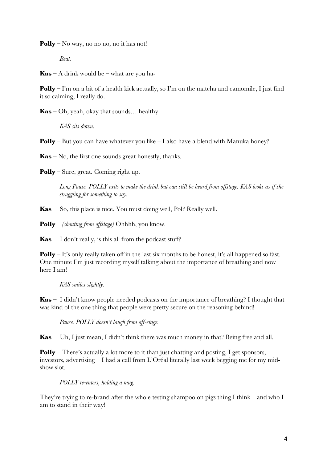**Polly** – No way, no no no, no it has not!

*Beat.*

**Kas** – A drink would be – what are you ha-

**Polly** – I'm on a bit of a health kick actually, so I'm on the matcha and camomile, I just find it so calming, I really do.

**Kas** – Oh, yeah, okay that sounds… healthy.

*KAS sits down.*

**Polly** – But you can have whatever you like – I also have a blend with Manuka honey?

**Kas** – No, the first one sounds great honestly, thanks.

**Polly** – Sure, great. Coming right up.

*Long Pause. POLLY exits to make the drink but can still be heard from offstage. KAS looks as if she struggling for something to say.*

**Kas** – So, this place is nice. You must doing well, Pol? Really well.

**Polly** – *(shouting from offstage)* Ohhhh, you know.

 $\textbf{Kas}$  – I don't really, is this all from the podcast stuff?

**Polly** – It's only really taken off in the last six months to be honest, it's all happened so fast. One minute I'm just recording myself talking about the importance of breathing and now here I am!

*KAS smiles slightly.* 

**Kas** – I didn't know people needed podcasts on the importance of breathing? I thought that was kind of the one thing that people were pretty secure on the reasoning behind!

*Pause. POLLY doesn't laugh from off-stage.*

**Kas** – Uh, I just mean, I didn't think there was much money in that? Being free and all.

**Polly** – There's actually a lot more to it than just chatting and posting, I get sponsors, investors, advertising – I had a call from L'Oréal literally last week begging me for my midshow slot.

*POLLY re-enters, holding a mug.* 

They're trying to re-brand after the whole testing shampoo on pigs thing I think – and who I am to stand in their way!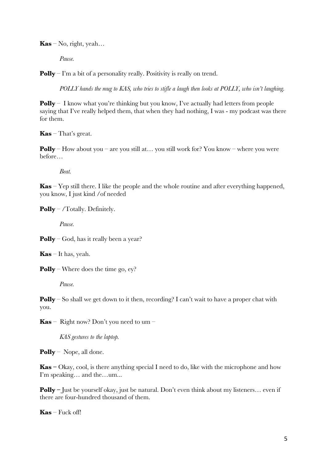$\mathbf{Kas} - \mathrm{No}$ , right, yeah...

*Pause.*

**Polly** – I'm a bit of a personality really. Positivity is really on trend.

*POLLY hands the mug to KAS, who tries to stifle a laugh then looks at POLLY, who isn't laughing.* 

**Polly** – I know what you're thinking but you know, I've actually had letters from people saying that I've really helped them, that when they had nothing, I was - my podcast was there for them.

**Kas** – That's great.

**Polly** – How about you – are you still at... you still work for? You know – where you were before…

*Beat.*

**Kas** – Yep still there. I like the people and the whole routine and after everything happened, you know, I just kind /of needed

**Polly** – /Totally. Definitely.

*Pause.*

**Polly** – God, has it really been a year?

**Kas** – It has, yeah.

**Polly** – Where does the time go, ey?

*Pause.*

**Polly** – So shall we get down to it then, recording? I can't wait to have a proper chat with you.

**Kas** – Right now? Don't you need to um –

*KAS gestures to the laptop.*

**Polly** – Nope, all done.

**Kas –** Okay, cool, is there anything special I need to do, like with the microphone and how I'm speaking… and the…um...

**Polly** – Just be yourself okay, just be natural. Don't even think about my listeners... even if there are four-hundred thousand of them.

**Kas** – Fuck off!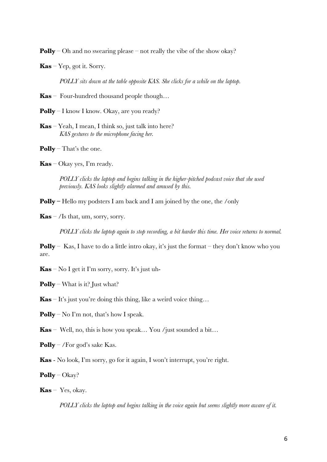**Polly** – Oh and no swearing please – not really the vibe of the show okay?

**Kas** – Yep, got it. Sorry.

*POLLY sits down at the table opposite KAS. She clicks for a while on the laptop.* 

**Kas** *–* Four-hundred thousand people though…

**Polly** – I know I know. Okay, are you ready?

- **Kas** Yeah, I mean, I think so, just talk into here? *KAS gestures to the microphone facing her.*
- **Polly**  That's the one.
- **Kas**  Okay yes, I'm ready.

*POLLY clicks the laptop and begins talking in the higher-pitched podcast voice that she used previously. KAS looks slightly alarmed and amused by this.* 

**Polly –** Hello my podsters I am back and I am joined by the one, the /only

**Kas** – /Is that, um, sorry, sorry.

*POLLY clicks the laptop again to stop recording, a bit harder this time. Her voice returns to normal.*

**Polly** – Kas, I have to do a little intro okay, it's just the format – they don't know who you are.

**Kas** – No I get it I'm sorry, sorry. It's just uh-

**Polly** – What is it? Just what?

**Kas** – It's just you're doing this thing, like a weird voice thing…

**Polly** – No I'm not, that's how I speak.

**Kas** – Well, no, this is how you speak… You /just sounded a bit…

**Polly** – /For god's sake Kas.

**Kas** - No look, I'm sorry, go for it again, I won't interrupt, you're right.

**Polly** – Okay?

**Kas** – Yes, okay.

*POLLY clicks the laptop and begins talking in the voice again but seems slightly more aware of it.*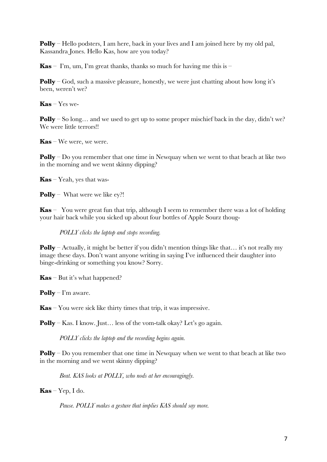**Polly** – Hello podsters, I am here, back in your lives and I am joined here by my old pal, Kassandra Jones. Hello Kas, how are you today?

**Kas** – I'm, um, I'm great thanks, thanks so much for having me this is –

**Polly** – God, such a massive pleasure, honestly, we were just chatting about how long it's been, weren't we?

**Kas** – Yes we-

**Polly** – So long... and we used to get up to some proper mischief back in the day, didn't we? We were little terrors!!

**Kas** – We were, we were.

**Polly** – Do you remember that one time in Newquay when we went to that beach at like two in the morning and we went skinny dipping?

**Kas** – Yeah, yes that was-

**Polly** – What were we like ey?!

**Kas** – You were great fun that trip, although I seem to remember there was a lot of holding your hair back while you sicked up about four bottles of Apple Sourz thoug-

*POLLY clicks the laptop and stops recording.* 

**Polly** – Actually, it might be better if you didn't mention things like that... it's not really my image these days. Don't want anyone writing in saying I've influenced their daughter into binge-drinking or something you know? Sorry.

**Kas** – But it's what happened?

**Polly** – I'm aware.

**Kas** – You were sick like thirty times that trip, it was impressive.

**Polly** – Kas. I know. Just... less of the vom-talk okay? Let's go again.

*POLLY clicks the laptop and the recording begins again.* 

**Polly** – Do you remember that one time in Newquay when we went to that beach at like two in the morning and we went skinny dipping?

*Beat. KAS looks at POLLY, who nods at her encouragingly.* 

**Kas** – Yep, I do.

*Pause. POLLY makes a gesture that implies KAS should say more.*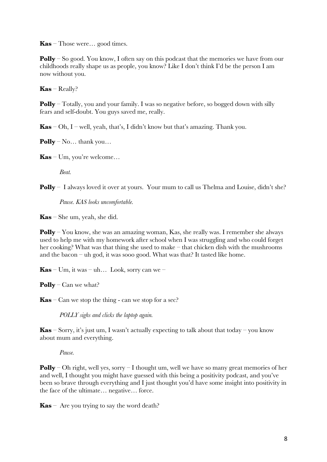**Kas** – Those were… good times.

**Polly** – So good. You know, I often say on this podcast that the memories we have from our childhoods really shape us as people, you know? Like I don't think I'd be the person I am now without you.

**Kas** – Really?

**Polly** – Totally, you and your family. I was so negative before, so bogged down with silly fears and self-doubt. You guys saved me, really.

**Kas** – Oh, I – well, yeah, that's, I didn't know but that's amazing. Thank you.

**Polly** – No… thank you…

**Kas** – Um, you're welcome…

*Beat.*

**Polly** – I always loved it over at yours. Your mum to call us Thelma and Louise, didn't she?

*Pause. KAS looks uncomfortable.* 

**Kas** – She um, yeah, she did.

**Polly** – You know, she was an amazing woman, Kas, she really was. I remember she always used to help me with my homework after school when I was struggling and who could forget her cooking? What was that thing she used to make – that chicken dish with the mushrooms and the bacon – uh god, it was sooo good. What was that? It tasted like home.

**Kas** – Um, it was – uh... Look, sorry can we –

**Polly** – Can we what?

**Kas** – Can we stop the thing - can we stop for a sec?

*POLLY sighs and clicks the laptop again.* 

**Kas** – Sorry, it's just um, I wasn't actually expecting to talk about that today – you know about mum and everything.

*Pause.*

**Polly** – Oh right, well yes, sorry – I thought um, well we have so many great memories of her and well, I thought you might have guessed with this being a positivity podcast, and you've been so brave through everything and I just thought you'd have some insight into positivity in the face of the ultimate… negative… force.

**Kas** – Are you trying to say the word death?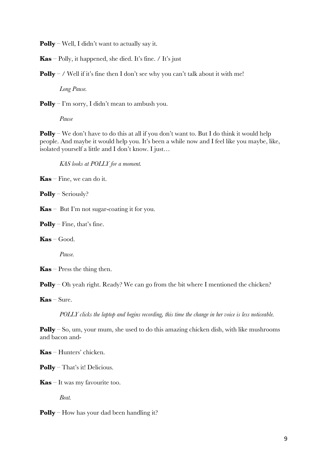**Polly** – Well, I didn't want to actually say it.

**Kas** – Polly, it happened, she died. It's fine. / It's just

**Polly** – / Well if it's fine then I don't see why you can't talk about it with me!

*Long Pause.*

**Polly** – I'm sorry, I didn't mean to ambush you.

*Pause*

**Polly** – We don't have to do this at all if you don't want to. But I do think it would help people. And maybe it would help you. It's been a while now and I feel like you maybe, like, isolated yourself a little and I don't know. I just…

*KAS looks at POLLY for a moment.* 

**Kas** – Fine, we can do it.

**Polly** – Seriously?

**Kas** – But I'm not sugar-coating it for you.

**Polly** – Fine, that's fine.

**Kas** – Good.

*Pause.*

**Kas** – Press the thing then.

**Polly** – Oh yeah right. Ready? We can go from the bit where I mentioned the chicken?

**Kas** – Sure.

*POLLY clicks the laptop and begins recording, this time the change in her voice is less noticeable.* 

**Polly** – So, um, your mum, she used to do this amazing chicken dish, with like mushrooms and bacon and-

**Kas** – Hunters' chicken.

**Polly** – That's it! Delicious.

**Kas** – It was my favourite too.

*Beat.*

**Polly** – How has your dad been handling it?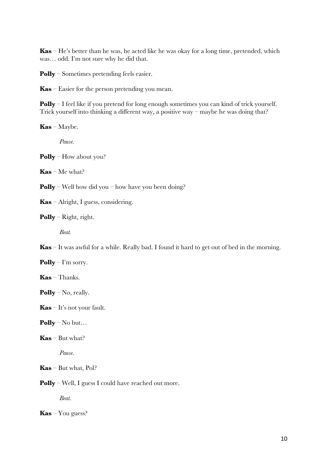**Kas** – He's better than he was, he acted like he was okay for a long time, pretended, which was… odd. I'm not sure why he did that.

**Polly** – Sometimes pretending feels easier.

**Kas** – Easier for the person pretending you mean.

**Polly** – I feel like if you pretend for long enough sometimes you can kind of trick yourself. Trick yourself into thinking a different way, a positive way – maybe he was doing that?

**Kas** – Maybe.

*Pause.* 

**Polly** – How about you?

**Kas** – Me what?

**Polly** – Well how did you – how have you been doing?

**Kas** – Alright, I guess, considering.

**Polly** – Right, right.

*Beat.*

**Kas** – It was awful for a while. Really bad. I found it hard to get out of bed in the morning.

**Polly** – I'm sorry.

**Kas** – Thanks.

**Polly** – No, really.

**Kas** – It's not your fault.

**Polly** – No but…

**Kas** – But what?

*Pause.*

**Kas** *–* But what, Pol?

**Polly** – Well, I guess I could have reached out more.

*Beat.* 

**Kas** – You guess?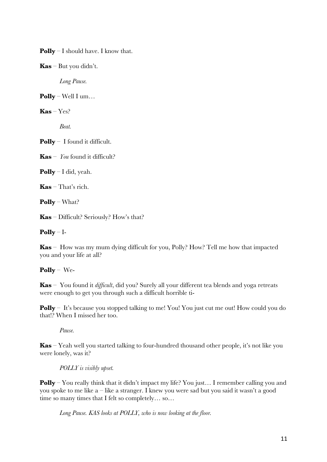**Polly** – I should have. I know that.

**Kas** – But you didn't.

*Long Pause.*

**Polly** – Well I um…

 $Kas - Yes?$ 

*Beat.*

**Polly** – I found it difficult.

**Kas** –  $\gamma$ *ou* found it difficult?

**Polly** – I did, yeah.

**Kas** – That's rich.

**Polly** – What?

**Kas** – Difficult? Seriously? How's that?

#### **Polly** – I-

**Kas** – How was my mum dying difficult for you, Polly? How? Tell me how that impacted you and your life at all?

## **Polly** – We-

**Kas** – You found it *difficult*, did you? Surely all your different tea blends and yoga retreats were enough to get you through such a difficult horrible ti-

**Polly** – It's because you stopped talking to me! You! You just cut me out! How could you do that!? When I missed her too.

*Pause.*

**Kas** – Yeah well you started talking to four-hundred thousand other people, it's not like you were lonely, was it?

#### *POLLY is visibly upset.*

**Polly** – You really think that it didn't impact my life? You just... I remember calling you and you spoke to me like  $a$  – like a stranger. I knew you were sad but you said it wasn't a good time so many times that I felt so completely… so…

*Long Pause. KAS looks at POLLY, who is now looking at the floor.*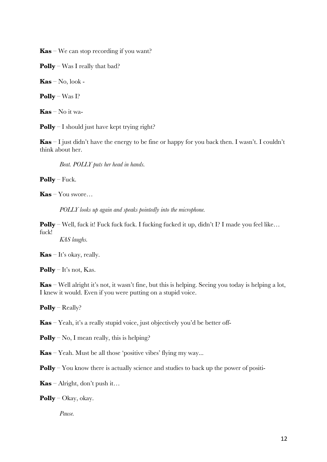**Kas** – We can stop recording if you want?

**Polly** – Was I really that bad?

**Kas** – No, look -

**Polly** – Was I?

**Kas** – No it wa-

**Polly** – I should just have kept trying right?

**Kas** – I just didn't have the energy to be fine or happy for you back then. I wasn't. I couldn't think about her.

*Beat. POLLY puts her head in hands.* 

**Polly** – Fuck.

**Kas** – You swore…

*POLLY looks up again and speaks pointedly into the microphone.* 

**Polly** – Well, fuck it! Fuck fuck fuck. I fucking fucked it up, didn't I? I made you feel like... fuck!

*KAS laughs.* 

**Kas** – It's okay, really.

**Polly** – It's not, Kas.

**Kas** – Well alright it's not, it wasn't fine, but this is helping. Seeing you today is helping a lot, I knew it would. Even if you were putting on a stupid voice.

**Polly** – Really?

**Kas** – Yeah, it's a really stupid voice, just objectively you'd be better off-

**Polly** – No, I mean really, this is helping?

**Kas** – Yeah. Must be all those 'positive vibes' flying my way...

**Polly** – You know there is actually science and studies to back up the power of positi-

**Kas** – Alright, don't push it…

**Polly** – Okay, okay.

*Pause.*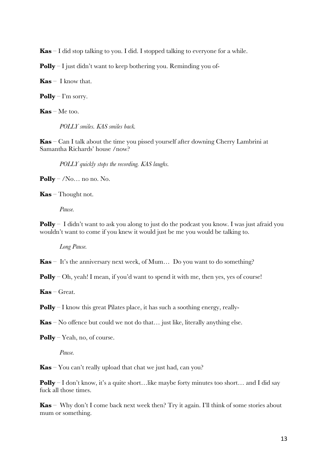**Kas** *–* I did stop talking to you. I did. I stopped talking to everyone for a while.

**Polly** – I just didn't want to keep bothering you. Reminding you of-

**Kas** – I know that.

**Polly** – I'm sorry.

**Kas** – Me too.

*POLLY smiles. KAS smiles back.* 

**Kas** – Can I talk about the time you pissed yourself after downing Cherry Lambrini at Samantha Richards' house /now?

*POLLY quickly stops the recording. KAS laughs.* 

**Polly** – /No… no no. No.

**Kas** – Thought not.

*Pause.*

**Polly** – I didn't want to ask you along to just do the podcast you know. I was just afraid you wouldn't want to come if you knew it would just be me you would be talking to.

*Long Pause.*

**Kas** – It's the anniversary next week, of Mum... Do you want to do something?

**Polly** – Oh, yeah! I mean, if you'd want to spend it with me, then yes, yes of course!

**Kas** – Great.

**Polly** – I know this great Pilates place, it has such a soothing energy, really-

**Kas** – No offence but could we not do that… just like, literally anything else.

**Polly** – Yeah, no, of course.

*Pause.*

**Kas** – You can't really upload that chat we just had, can you?

**Polly** – I don't know, it's a quite short…like maybe forty minutes too short… and I did say fuck all those times.

**Kas** – Why don't I come back next week then? Try it again. I'll think of some stories about mum or something.